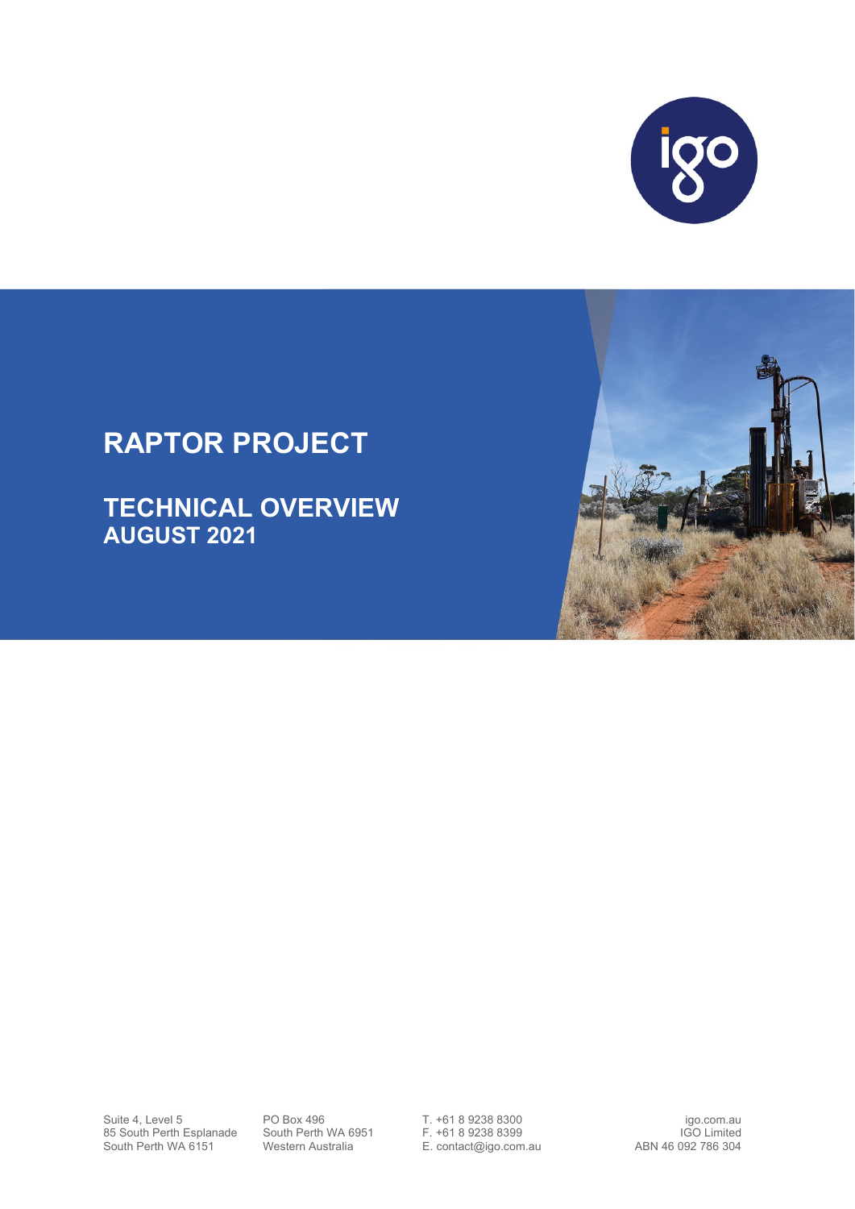

## **RAPTOR PROJECT**

**TECHNICAL OVERVIEW AUGUST 2021**



Suite 4, Level 5 **PO Box 496** T. +61 8 9238 8300<br>85 South Perth Esplanade South Perth WA 6951 F. +61 8 9238 8399 85 South Perth Esplanade South Perth WA 6951 F. +61 8 9238 8399 IGO Limited<br>South Perth WA 6151 Western Australia E. contact@igo.com.au ABN 46 092 786 304

E. contact@igo.com.au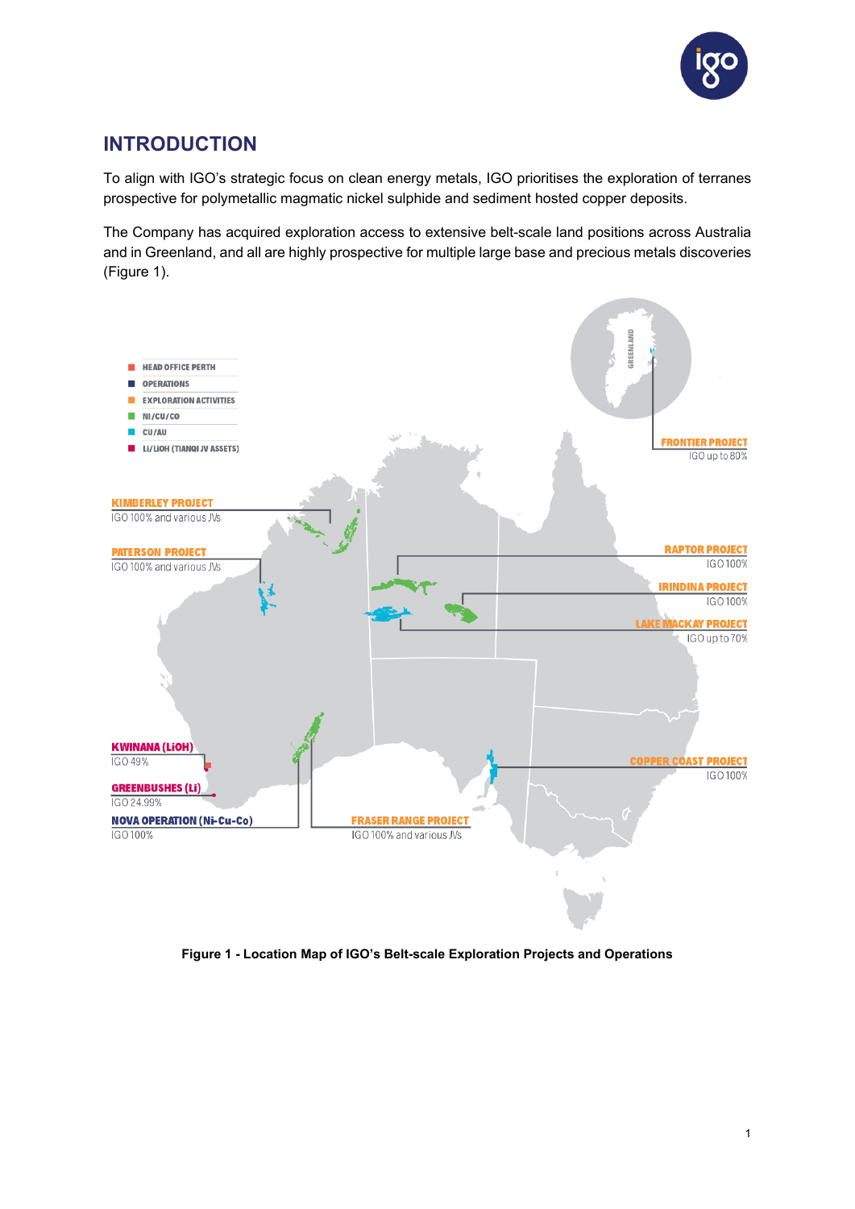

## **INTRODUCTION**

To align with IGO's strategic focus on clean energy metals, IGO prioritises the exploration of terranes prospective for polymetallic magmatic nickel sulphide and sediment hosted copper deposits.

The Company has acquired exploration access to extensive belt-scale land positions across Australia and in Greenland, and all are highly prospective for multiple large base and precious metals discoveries (Figure 1).



**Figure 1 - Location Map of IGO's Belt-scale Exploration Projects and Operations**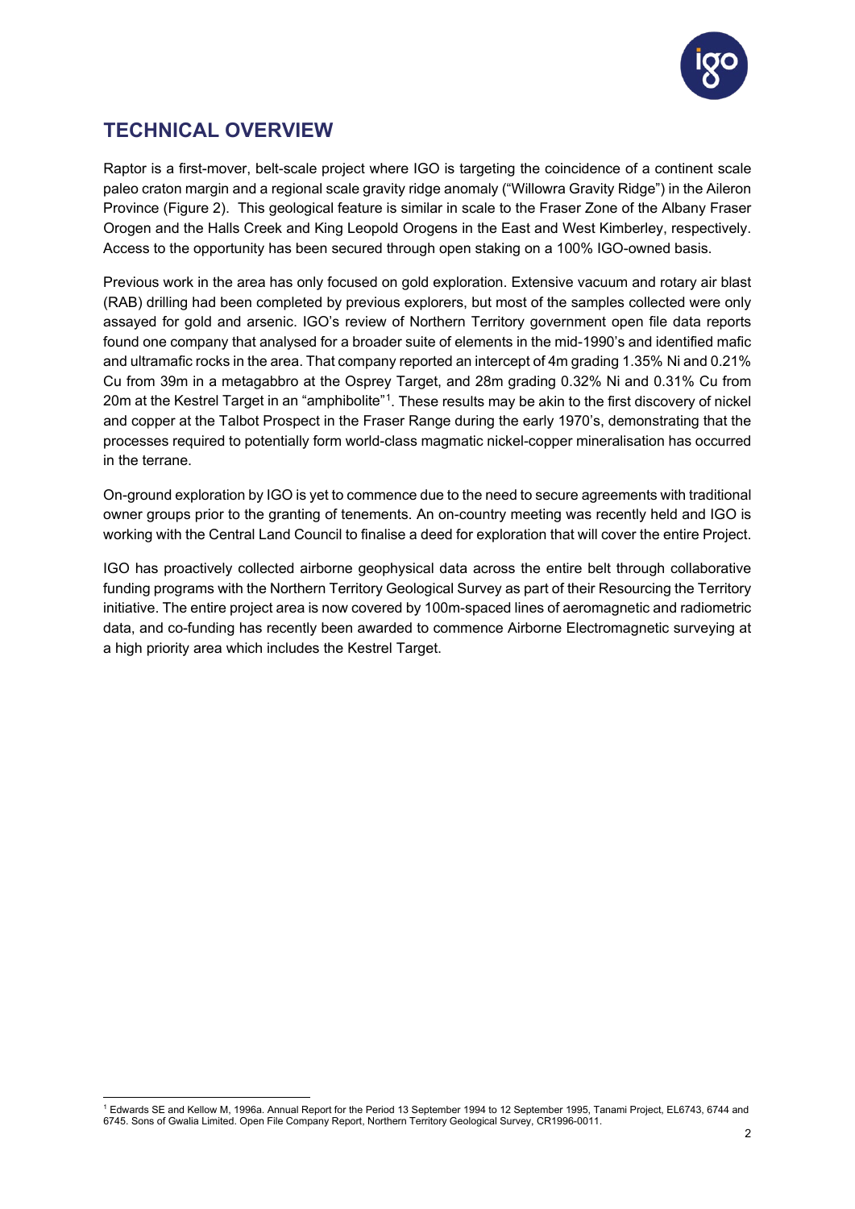

## **TECHNICAL OVERVIEW**

Raptor is a first-mover, belt-scale project where IGO is targeting the coincidence of a continent scale paleo craton margin and a regional scale gravity ridge anomaly ("Willowra Gravity Ridge") in the Aileron Province (Figure 2). This geological feature is similar in scale to the Fraser Zone of the Albany Fraser Orogen and the Halls Creek and King Leopold Orogens in the East and West Kimberley, respectively. Access to the opportunity has been secured through open staking on a 100% IGO-owned basis.

Previous work in the area has only focused on gold exploration. Extensive vacuum and rotary air blast (RAB) drilling had been completed by previous explorers, but most of the samples collected were only assayed for gold and arsenic. IGO's review of Northern Territory government open file data reports found one company that analysed for a broader suite of elements in the mid-1990's and identified mafic and ultramafic rocks in the area. That company reported an intercept of 4m grading 1.35% Ni and 0.21% Cu from 39m in a metagabbro at the Osprey Target, and 28m grading 0.32% Ni and 0.31% Cu from 20m at the Kestrel Target in an "amphibolite"<sup>[1](#page-2-0)</sup>. These results may be akin to the first discovery of nickel and copper at the Talbot Prospect in the Fraser Range during the early 1970's, demonstrating that the processes required to potentially form world-class magmatic nickel-copper mineralisation has occurred in the terrane.

On-ground exploration by IGO is yet to commence due to the need to secure agreements with traditional owner groups prior to the granting of tenements. An on-country meeting was recently held and IGO is working with the Central Land Council to finalise a deed for exploration that will cover the entire Project.

IGO has proactively collected airborne geophysical data across the entire belt through collaborative funding programs with the Northern Territory Geological Survey as part of their Resourcing the Territory initiative. The entire project area is now covered by 100m-spaced lines of aeromagnetic and radiometric data, and co-funding has recently been awarded to commence Airborne Electromagnetic surveying at a high priority area which includes the Kestrel Target.

<span id="page-2-0"></span><sup>1</sup> Edwards SE and Kellow M, 1996a. Annual Report for the Period 13 September 1994 to 12 September 1995, Tanami Project, EL6743, 6744 and 6745. Sons of Gwalia Limited. Open File Company Report, Northern Territory Geological Survey, CR1996-0011.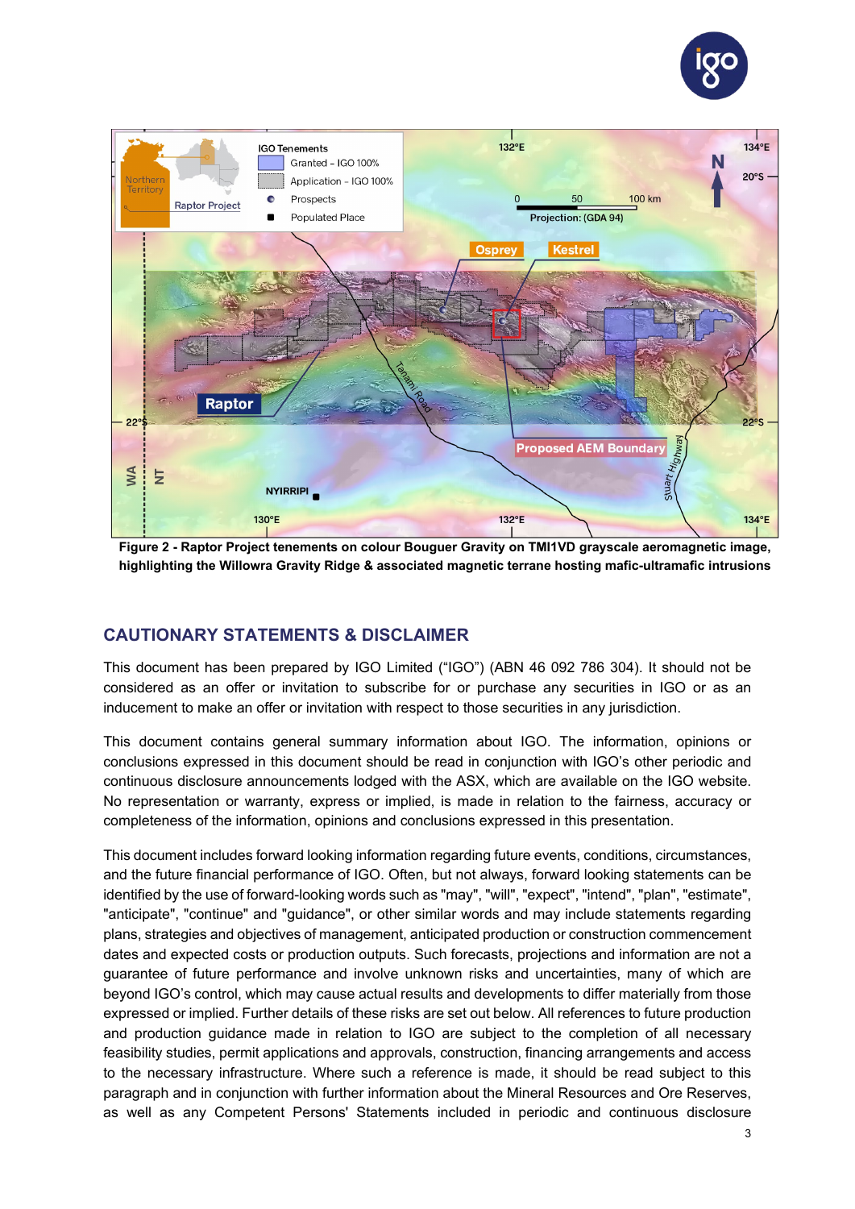



**Figure 2 - Raptor Project tenements on colour Bouguer Gravity on TMI1VD grayscale aeromagnetic image, highlighting the Willowra Gravity Ridge & associated magnetic terrane hosting mafic-ultramafic intrusions**

## **CAUTIONARY STATEMENTS & DISCLAIMER**

This document has been prepared by IGO Limited ("IGO") (ABN 46 092 786 304). It should not be considered as an offer or invitation to subscribe for or purchase any securities in IGO or as an inducement to make an offer or invitation with respect to those securities in any jurisdiction.

This document contains general summary information about IGO. The information, opinions or conclusions expressed in this document should be read in conjunction with IGO's other periodic and continuous disclosure announcements lodged with the ASX, which are available on the IGO website. No representation or warranty, express or implied, is made in relation to the fairness, accuracy or completeness of the information, opinions and conclusions expressed in this presentation.

This document includes forward looking information regarding future events, conditions, circumstances, and the future financial performance of IGO. Often, but not always, forward looking statements can be identified by the use of forward-looking words such as "may", "will", "expect", "intend", "plan", "estimate", "anticipate", "continue" and "guidance", or other similar words and may include statements regarding plans, strategies and objectives of management, anticipated production or construction commencement dates and expected costs or production outputs. Such forecasts, projections and information are not a guarantee of future performance and involve unknown risks and uncertainties, many of which are beyond IGO's control, which may cause actual results and developments to differ materially from those expressed or implied. Further details of these risks are set out below. All references to future production and production guidance made in relation to IGO are subject to the completion of all necessary feasibility studies, permit applications and approvals, construction, financing arrangements and access to the necessary infrastructure. Where such a reference is made, it should be read subject to this paragraph and in conjunction with further information about the Mineral Resources and Ore Reserves, as well as any Competent Persons' Statements included in periodic and continuous disclosure